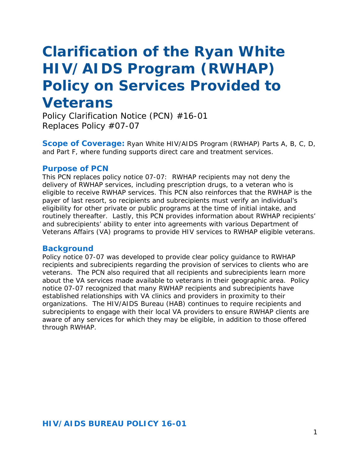# *Clarification of the Ryan White HIV/AIDS Program (RWHAP) Policy on Services Provided to Veterans*

*Policy Clarification Notice (PCN) #*16-01 *Replaces Policy #07-07*

**Scope of Coverage:** Ryan White HIV/AIDS Program (RWHAP) Parts A, B, C, D, and Part F, where funding supports direct care and treatment services.

#### **Purpose of PCN**

This PCN replaces policy notice 07-07: RWHAP recipients may not deny the delivery of RWHAP services, including prescription drugs, to a veteran who is eligible to receive RWHAP services. This PCN also reinforces that the RWHAP is the payer of last resort, so recipients and subrecipients must verify an individual's eligibility for other private or public programs at the time of initial intake, and routinely thereafter. Lastly, this PCN provides information about RWHAP recipients' and subrecipients' ability to enter into agreements with various Department of Veterans Affairs (VA) programs to provide HIV services to RWHAP eligible veterans.

#### **Background**

Policy notice 07-07 was developed to provide clear policy guidance to RWHAP recipients and subrecipients regarding the provision of services to clients who are veterans. The PCN also required that all recipients and subrecipients learn more about the VA services made available to veterans in their geographic area. Policy notice 07-07 recognized that many RWHAP recipients and subrecipients have established relationships with VA clinics and providers in proximity to their organizations. The HIV/AIDS Bureau (HAB) continues to require recipients and subrecipients to engage with their local VA providers to ensure RWHAP clients are aware of any services for which they may be eligible, in addition to those offered through RWHAP.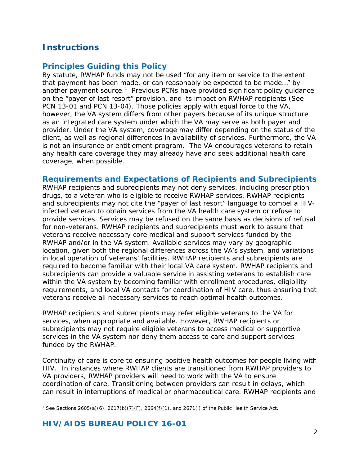# **Instructions**

## **Principles Guiding this Policy**

By statute, RWHAP funds may not be used "for any item or service to the extent that payment has been made, or can reasonably be expected to be made…" by another payment source.<sup>[1](#page-1-0)</sup> Previous PCNs have provided significant policy guidance on the "payer of last resort" provision, and its impact on RWHAP recipients (See PCN 13-01 and PCN 13-04). Those policies apply with equal force to the VA, however, the VA system differs from other payers because of its unique structure as an integrated care system under which the VA may serve as both payer and provider. Under the VA system, coverage may differ depending on the status of the client, as well as regional differences in availability of services. Furthermore, the VA is not an insurance or entitlement program. The VA encourages veterans to retain any health care coverage they may already have and seek additional health care coverage, when possible.

### **Requirements and Expectations of Recipients and Subrecipients**

RWHAP recipients and subrecipients may not deny services, including prescription drugs, to a veteran who is eligible to receive RWHAP services. RWHAP recipients and subrecipients may not cite the "payer of last resort" language to compel a HIVinfected veteran to obtain services from the VA health care system or refuse to provide services. Services may be refused on the same basis as decisions of refusal for non-veterans. RWHAP recipients and subrecipients must work to assure that veterans receive necessary core medical and support services funded by the RWHAP and/or in the VA system. Available services may vary by geographic location, given both the regional differences across the VA's system, and variations in local operation of veterans' facilities. RWHAP recipients and subrecipients are required to become familiar with their local VA care system. RWHAP recipients and subrecipients can provide a valuable service in assisting veterans to establish care within the VA system by becoming familiar with enrollment procedures, eligibility requirements, and local VA contacts for coordination of HIV care, thus ensuring that veterans receive all necessary services to reach optimal health outcomes.

RWHAP recipients and subrecipients may refer eligible veterans to the VA for services, when appropriate and available. However, RWHAP recipients or subrecipients may not require eligible veterans to access medical or supportive services in the VA system nor deny them access to care and support services funded by the RWHAP.

Continuity of care is core to ensuring positive health outcomes for people living with HIV. In instances where RWHAP clients are transitioned from RWHAP providers to VA providers, RWHAP providers will need to work with the VA to ensure coordination of care. Transitioning between providers can result in delays, which can result in interruptions of medical or pharmaceutical care. RWHAP recipients and

## **HIV/AIDS BUREAU POLICY 16-01**

<span id="page-1-0"></span>l <sup>1</sup> *See* Sections 2605(a)(6), 2617(b)(7)(F), 2664(f)(1), and 2671(i) of the Public Health Service Act.